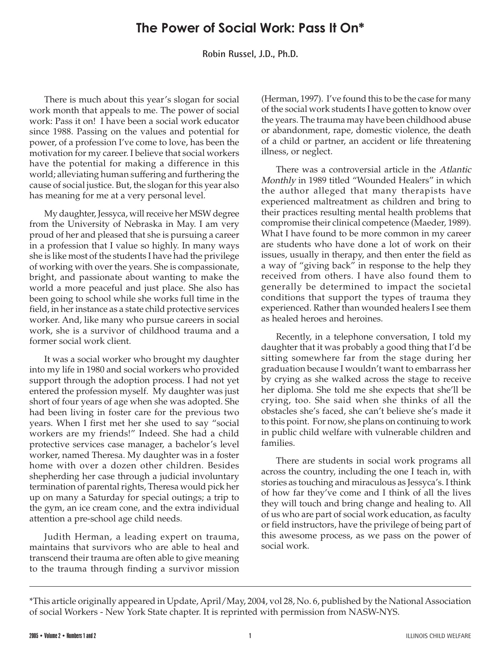## **The Power of Social Work: Pass It On\***

**Robin Russel, J.D., Ph.D.**

There is much about this year's slogan for social work month that appeals to me. The power of social work: Pass it on! I have been a social work educator since 1988. Passing on the values and potential for power, of a profession I've come to love, has been the motivation for my career. I believe that social workers have the potential for making a difference in this world; alleviating human suffering and furthering the cause of social justice. But, the slogan for this year also has meaning for me at a very personal level.

My daughter, Jessyca, will receive her MSW degree from the University of Nebraska in May. I am very proud of her and pleased that she is pursuing a career in a profession that I value so highly. In many ways she is like most of the students I have had the privilege of working with over the years. She is compassionate, bright, and passionate about wanting to make the world a more peaceful and just place. She also has been going to school while she works full time in the field, in her instance as a state child protective services worker. And, like many who pursue careers in social work, she is a survivor of childhood trauma and a former social work client.

It was a social worker who brought my daughter into my life in 1980 and social workers who provided support through the adoption process. I had not yet entered the profession myself. My daughter was just short of four years of age when she was adopted. She had been living in foster care for the previous two years. When I first met her she used to say "social workers are my friends!" Indeed. She had a child protective services case manager, a bachelor's level worker, named Theresa. My daughter was in a foster home with over a dozen other children. Besides shepherding her case through a judicial involuntary termination of parental rights, Theresa would pick her up on many a Saturday for special outings; a trip to the gym, an ice cream cone, and the extra individual attention a pre-school age child needs.

Judith Herman, a leading expert on trauma, maintains that survivors who are able to heal and transcend their trauma are often able to give meaning to the trauma through finding a survivor mission

(Herman, 1997). I've found this to be the case for many of the social work students I have gotten to know over the years. The trauma may have been childhood abuse or abandonment, rape, domestic violence, the death of a child or partner, an accident or life threatening illness, or neglect.

There was a controversial article in the Atlantic Monthly in 1989 titled "Wounded Healers" in which the author alleged that many therapists have experienced maltreatment as children and bring to their practices resulting mental health problems that compromise their clinical competence (Maeder, 1989). What I have found to be more common in my career are students who have done a lot of work on their issues, usually in therapy, and then enter the field as a way of "giving back" in response to the help they received from others. I have also found them to generally be determined to impact the societal conditions that support the types of trauma they experienced. Rather than wounded healers I see them as healed heroes and heroines.

Recently, in a telephone conversation, I told my daughter that it was probably a good thing that I'd be sitting somewhere far from the stage during her graduation because I wouldn't want to embarrass her by crying as she walked across the stage to receive her diploma. She told me she expects that she'll be crying, too. She said when she thinks of all the obstacles she's faced, she can't believe she's made it to this point. For now, she plans on continuing to work in public child welfare with vulnerable children and families.

There are students in social work programs all across the country, including the one I teach in, with stories as touching and miraculous as Jessyca's. I think of how far they've come and I think of all the lives they will touch and bring change and healing to. All of us who are part of social work education, as faculty or field instructors, have the privilege of being part of this awesome process, as we pass on the power of social work.

<sup>\*</sup>This article originally appeared in Update, April/May, 2004, vol 28, No. 6, published by the National Association of social Workers - New York State chapter. It is reprinted with permission from NASW-NYS.